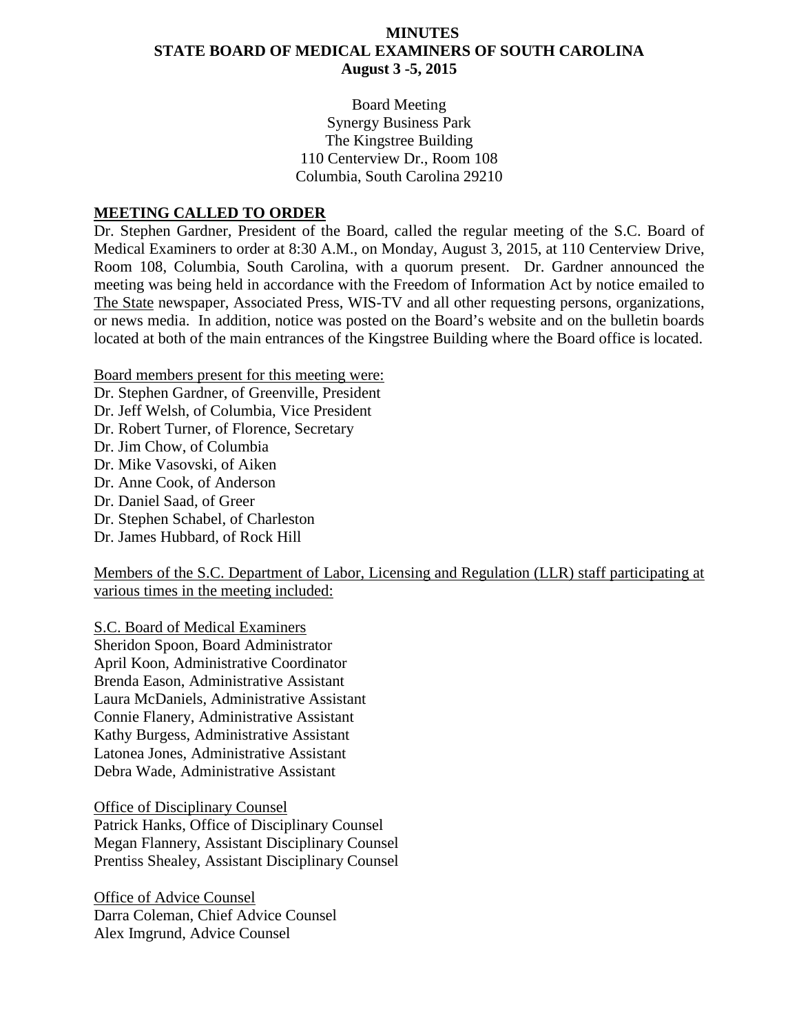### **MINUTES STATE BOARD OF MEDICAL EXAMINERS OF SOUTH CAROLINA August 3 -5, 2015**

Board Meeting Synergy Business Park The Kingstree Building 110 Centerview Dr., Room 108 Columbia, South Carolina 29210

#### **MEETING CALLED TO ORDER**

Dr. Stephen Gardner, President of the Board, called the regular meeting of the S.C. Board of Medical Examiners to order at 8:30 A.M., on Monday, August 3, 2015, at 110 Centerview Drive, Room 108, Columbia, South Carolina, with a quorum present. Dr. Gardner announced the meeting was being held in accordance with the Freedom of Information Act by notice emailed to The State newspaper, Associated Press, WIS-TV and all other requesting persons, organizations, or news media. In addition, notice was posted on the Board's website and on the bulletin boards located at both of the main entrances of the Kingstree Building where the Board office is located.

Board members present for this meeting were: Dr. Stephen Gardner, of Greenville, President Dr. Jeff Welsh, of Columbia, Vice President Dr. Robert Turner, of Florence, Secretary Dr. Jim Chow, of Columbia Dr. Mike Vasovski, of Aiken Dr. Anne Cook, of Anderson Dr. Daniel Saad, of Greer Dr. Stephen Schabel, of Charleston Dr. James Hubbard, of Rock Hill

Members of the S.C. Department of Labor, Licensing and Regulation (LLR) staff participating at various times in the meeting included:

S.C. Board of Medical Examiners Sheridon Spoon, Board Administrator April Koon, Administrative Coordinator Brenda Eason, Administrative Assistant Laura McDaniels, Administrative Assistant Connie Flanery, Administrative Assistant Kathy Burgess, Administrative Assistant Latonea Jones, Administrative Assistant Debra Wade, Administrative Assistant

Office of Disciplinary Counsel Patrick Hanks, Office of Disciplinary Counsel Megan Flannery, Assistant Disciplinary Counsel Prentiss Shealey, Assistant Disciplinary Counsel

Office of Advice Counsel Darra Coleman, Chief Advice Counsel Alex Imgrund, Advice Counsel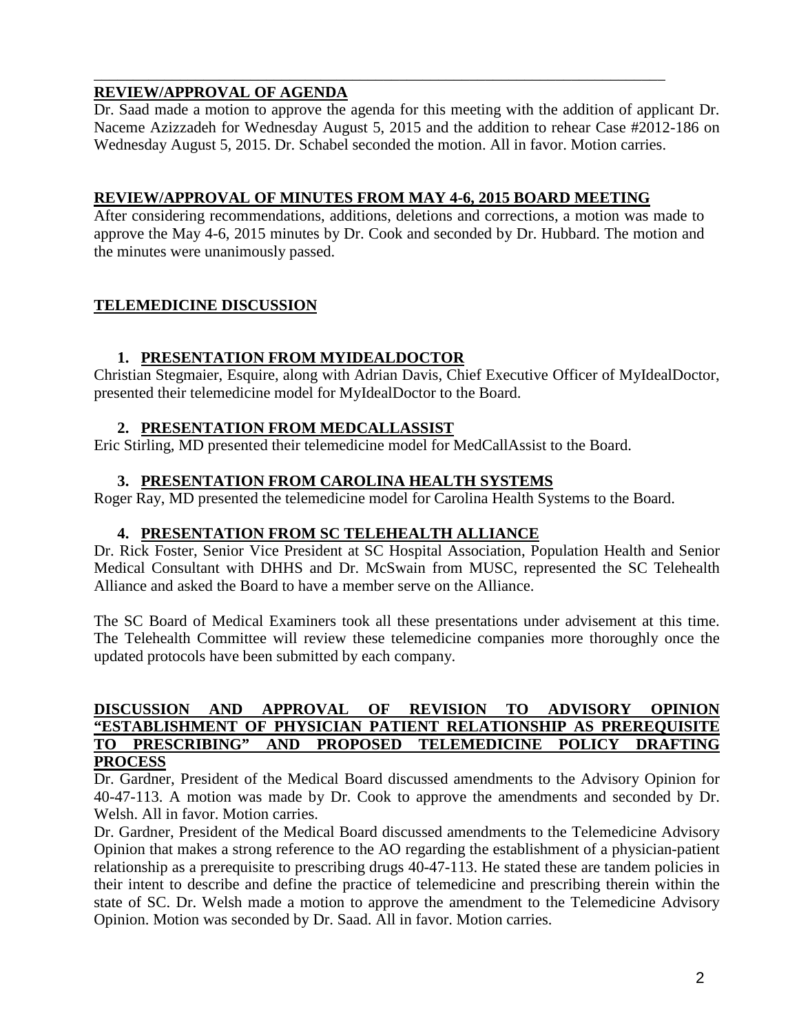## **REVIEW/APPROVAL OF AGENDA**

Dr. Saad made a motion to approve the agenda for this meeting with the addition of applicant Dr. Naceme Azizzadeh for Wednesday August 5, 2015 and the addition to rehear Case #2012-186 on Wednesday August 5, 2015. Dr. Schabel seconded the motion. All in favor. Motion carries.

## **REVIEW/APPROVAL OF MINUTES FROM MAY 4-6, 2015 BOARD MEETING**

\_\_\_\_\_\_\_\_\_\_\_\_\_\_\_\_\_\_\_\_\_\_\_\_\_\_\_\_\_\_\_\_\_\_\_\_\_\_\_\_\_\_\_\_\_\_\_\_\_\_\_\_\_\_\_\_\_\_\_\_\_\_\_\_\_\_\_\_\_\_\_\_\_

After considering recommendations, additions, deletions and corrections, a motion was made to approve the May 4-6, 2015 minutes by Dr. Cook and seconded by Dr. Hubbard. The motion and the minutes were unanimously passed.

## **TELEMEDICINE DISCUSSION**

## **1. PRESENTATION FROM MYIDEALDOCTOR**

Christian Stegmaier, Esquire, along with Adrian Davis, Chief Executive Officer of MyIdealDoctor, presented their telemedicine model for MyIdealDoctor to the Board.

## **2. PRESENTATION FROM MEDCALLASSIST**

Eric Stirling, MD presented their telemedicine model for MedCallAssist to the Board.

## **3. PRESENTATION FROM CAROLINA HEALTH SYSTEMS**

Roger Ray, MD presented the telemedicine model for Carolina Health Systems to the Board.

## **4. PRESENTATION FROM SC TELEHEALTH ALLIANCE**

Dr. Rick Foster, Senior Vice President at SC Hospital Association, Population Health and Senior Medical Consultant with DHHS and Dr. McSwain from MUSC, represented the SC Telehealth Alliance and asked the Board to have a member serve on the Alliance.

The SC Board of Medical Examiners took all these presentations under advisement at this time. The Telehealth Committee will review these telemedicine companies more thoroughly once the updated protocols have been submitted by each company.

#### **DISCUSSION AND APPROVAL OF REVISION TO ADVISORY OPINION "ESTABLISHMENT OF PHYSICIAN PATIENT RELATIONSHIP AS PREREQUISITE TO PRESCRIBING" AND PROPOSED TELEMEDICINE POLICY DRAFTING PROCESS**

Dr. Gardner, President of the Medical Board discussed amendments to the Advisory Opinion for 40-47-113. A motion was made by Dr. Cook to approve the amendments and seconded by Dr. Welsh. All in favor. Motion carries.

Dr. Gardner, President of the Medical Board discussed amendments to the Telemedicine Advisory Opinion that makes a strong reference to the AO regarding the establishment of a physician-patient relationship as a prerequisite to prescribing drugs 40-47-113. He stated these are tandem policies in their intent to describe and define the practice of telemedicine and prescribing therein within the state of SC. Dr. Welsh made a motion to approve the amendment to the Telemedicine Advisory Opinion. Motion was seconded by Dr. Saad. All in favor. Motion carries.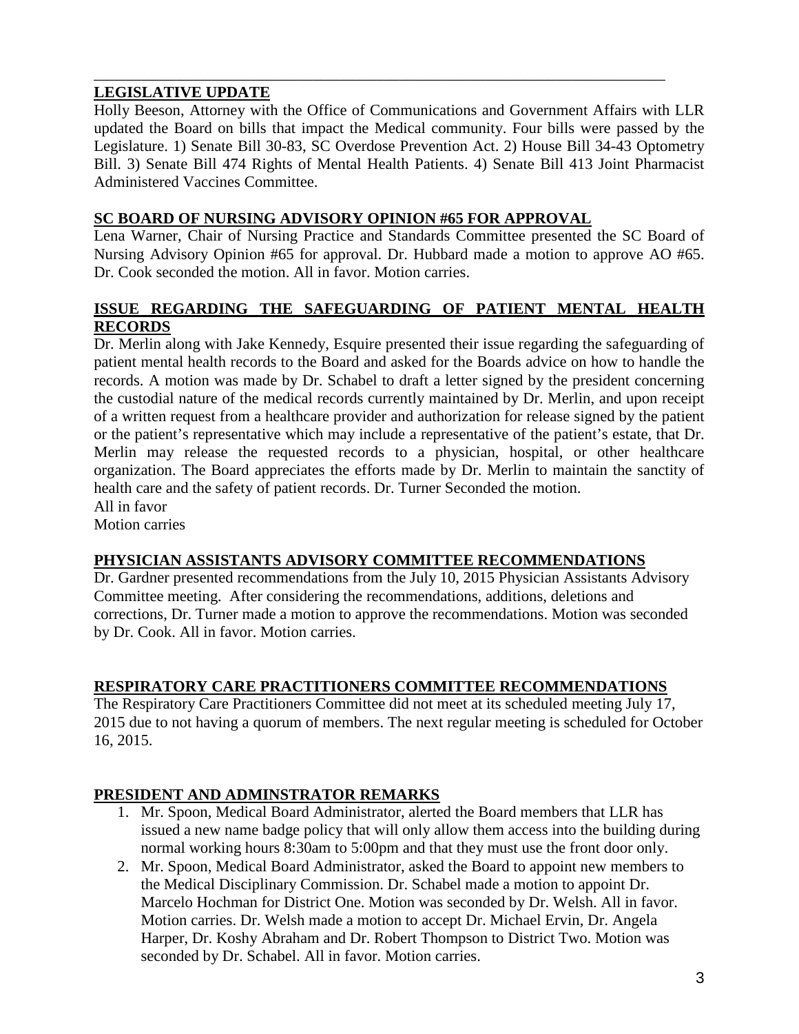## **LEGISLATIVE UPDATE**

Holly Beeson, Attorney with the Office of Communications and Government Affairs with LLR updated the Board on bills that impact the Medical community. Four bills were passed by the Legislature. 1) Senate Bill 30-83, SC Overdose Prevention Act. 2) House Bill 34-43 Optometry Bill. 3) Senate Bill 474 Rights of Mental Health Patients. 4) Senate Bill 413 Joint Pharmacist Administered Vaccines Committee.

\_\_\_\_\_\_\_\_\_\_\_\_\_\_\_\_\_\_\_\_\_\_\_\_\_\_\_\_\_\_\_\_\_\_\_\_\_\_\_\_\_\_\_\_\_\_\_\_\_\_\_\_\_\_\_\_\_\_\_\_\_\_\_\_\_\_\_\_\_\_\_\_\_

## **SC BOARD OF NURSING ADVISORY OPINION #65 FOR APPROVAL**

Lena Warner, Chair of Nursing Practice and Standards Committee presented the SC Board of Nursing Advisory Opinion #65 for approval. Dr. Hubbard made a motion to approve AO #65. Dr. Cook seconded the motion. All in favor. Motion carries.

### **ISSUE REGARDING THE SAFEGUARDING OF PATIENT MENTAL HEALTH RECORDS**

Dr. Merlin along with Jake Kennedy, Esquire presented their issue regarding the safeguarding of patient mental health records to the Board and asked for the Boards advice on how to handle the records. A motion was made by Dr. Schabel to draft a letter signed by the president concerning the custodial nature of the medical records currently maintained by Dr. Merlin, and upon receipt of a written request from a healthcare provider and authorization for release signed by the patient or the patient's representative which may include a representative of the patient's estate, that Dr. Merlin may release the requested records to a physician, hospital, or other healthcare organization. The Board appreciates the efforts made by Dr. Merlin to maintain the sanctity of health care and the safety of patient records. Dr. Turner Seconded the motion. All in favor

Motion carries

## **PHYSICIAN ASSISTANTS ADVISORY COMMITTEE RECOMMENDATIONS**

Dr. Gardner presented recommendations from the July 10, 2015 Physician Assistants Advisory Committee meeting. After considering the recommendations, additions, deletions and corrections, Dr. Turner made a motion to approve the recommendations. Motion was seconded by Dr. Cook. All in favor. Motion carries.

## **RESPIRATORY CARE PRACTITIONERS COMMITTEE RECOMMENDATIONS**

The Respiratory Care Practitioners Committee did not meet at its scheduled meeting July 17, 2015 due to not having a quorum of members. The next regular meeting is scheduled for October 16, 2015.

## **PRESIDENT AND ADMINSTRATOR REMARKS**

- 1. Mr. Spoon, Medical Board Administrator, alerted the Board members that LLR has issued a new name badge policy that will only allow them access into the building during normal working hours 8:30am to 5:00pm and that they must use the front door only.
- 2. Mr. Spoon, Medical Board Administrator, asked the Board to appoint new members to the Medical Disciplinary Commission. Dr. Schabel made a motion to appoint Dr. Marcelo Hochman for District One. Motion was seconded by Dr. Welsh. All in favor. Motion carries. Dr. Welsh made a motion to accept Dr. Michael Ervin, Dr. Angela Harper, Dr. Koshy Abraham and Dr. Robert Thompson to District Two. Motion was seconded by Dr. Schabel. All in favor. Motion carries.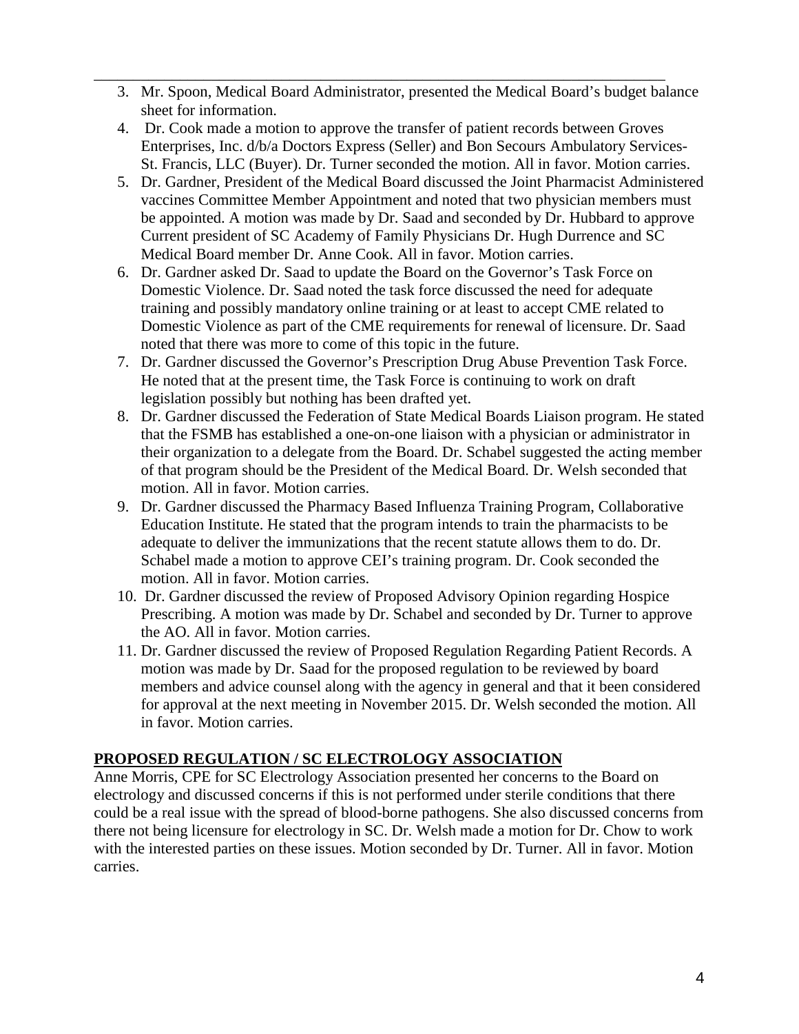- \_\_\_\_\_\_\_\_\_\_\_\_\_\_\_\_\_\_\_\_\_\_\_\_\_\_\_\_\_\_\_\_\_\_\_\_\_\_\_\_\_\_\_\_\_\_\_\_\_\_\_\_\_\_\_\_\_\_\_\_\_\_\_\_\_\_\_\_\_\_\_\_\_ 3. Mr. Spoon, Medical Board Administrator, presented the Medical Board's budget balance sheet for information.
	- 4. Dr. Cook made a motion to approve the transfer of patient records between Groves Enterprises, Inc. d/b/a Doctors Express (Seller) and Bon Secours Ambulatory Services-St. Francis, LLC (Buyer). Dr. Turner seconded the motion. All in favor. Motion carries.
	- 5. Dr. Gardner, President of the Medical Board discussed the Joint Pharmacist Administered vaccines Committee Member Appointment and noted that two physician members must be appointed. A motion was made by Dr. Saad and seconded by Dr. Hubbard to approve Current president of SC Academy of Family Physicians Dr. Hugh Durrence and SC Medical Board member Dr. Anne Cook. All in favor. Motion carries.
	- 6. Dr. Gardner asked Dr. Saad to update the Board on the Governor's Task Force on Domestic Violence. Dr. Saad noted the task force discussed the need for adequate training and possibly mandatory online training or at least to accept CME related to Domestic Violence as part of the CME requirements for renewal of licensure. Dr. Saad noted that there was more to come of this topic in the future.
	- 7. Dr. Gardner discussed the Governor's Prescription Drug Abuse Prevention Task Force. He noted that at the present time, the Task Force is continuing to work on draft legislation possibly but nothing has been drafted yet.
	- 8. Dr. Gardner discussed the Federation of State Medical Boards Liaison program. He stated that the FSMB has established a one-on-one liaison with a physician or administrator in their organization to a delegate from the Board. Dr. Schabel suggested the acting member of that program should be the President of the Medical Board. Dr. Welsh seconded that motion. All in favor. Motion carries.
	- 9. Dr. Gardner discussed the Pharmacy Based Influenza Training Program, Collaborative Education Institute. He stated that the program intends to train the pharmacists to be adequate to deliver the immunizations that the recent statute allows them to do. Dr. Schabel made a motion to approve CEI's training program. Dr. Cook seconded the motion. All in favor. Motion carries.
	- 10. Dr. Gardner discussed the review of Proposed Advisory Opinion regarding Hospice Prescribing. A motion was made by Dr. Schabel and seconded by Dr. Turner to approve the AO. All in favor. Motion carries.
	- 11. Dr. Gardner discussed the review of Proposed Regulation Regarding Patient Records. A motion was made by Dr. Saad for the proposed regulation to be reviewed by board members and advice counsel along with the agency in general and that it been considered for approval at the next meeting in November 2015. Dr. Welsh seconded the motion. All in favor. Motion carries.

## **PROPOSED REGULATION / SC ELECTROLOGY ASSOCIATION**

Anne Morris, CPE for SC Electrology Association presented her concerns to the Board on electrology and discussed concerns if this is not performed under sterile conditions that there could be a real issue with the spread of blood-borne pathogens. She also discussed concerns from there not being licensure for electrology in SC. Dr. Welsh made a motion for Dr. Chow to work with the interested parties on these issues. Motion seconded by Dr. Turner. All in favor. Motion carries.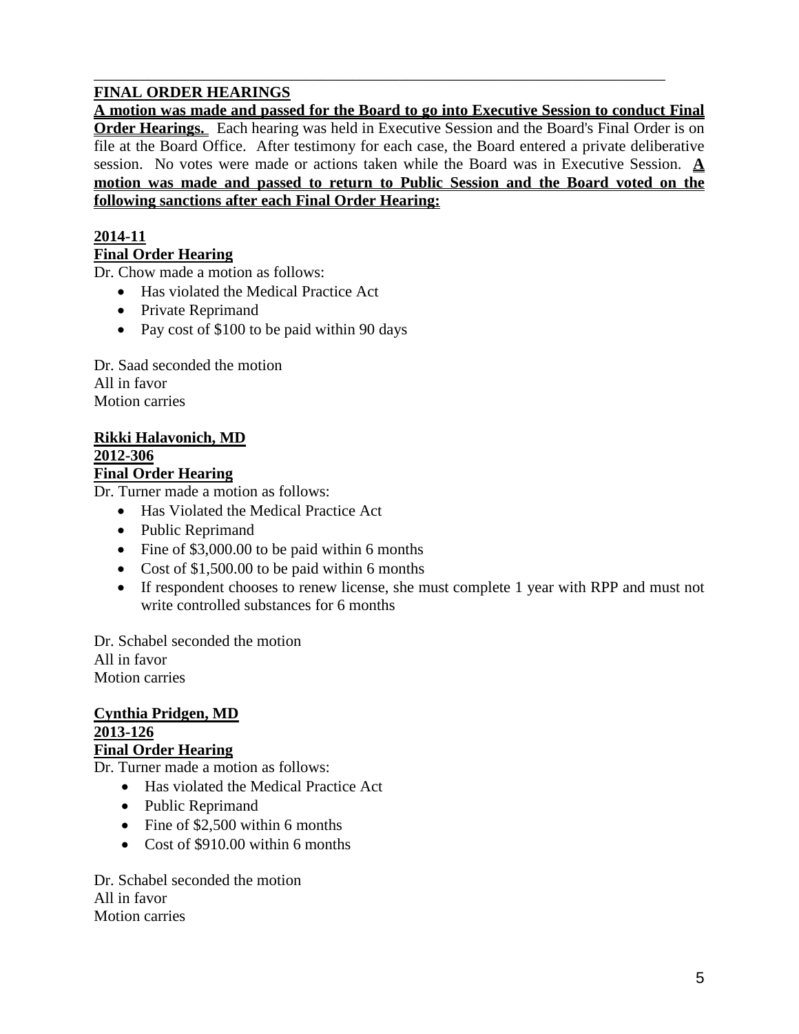## **FINAL ORDER HEARINGS**

**A motion was made and passed for the Board to go into Executive Session to conduct Final Order Hearings.** Each hearing was held in Executive Session and the Board's Final Order is on file at the Board Office. After testimony for each case, the Board entered a private deliberative session. No votes were made or actions taken while the Board was in Executive Session. **A motion was made and passed to return to Public Session and the Board voted on the following sanctions after each Final Order Hearing:**

\_\_\_\_\_\_\_\_\_\_\_\_\_\_\_\_\_\_\_\_\_\_\_\_\_\_\_\_\_\_\_\_\_\_\_\_\_\_\_\_\_\_\_\_\_\_\_\_\_\_\_\_\_\_\_\_\_\_\_\_\_\_\_\_\_\_\_\_\_\_\_\_\_

#### **2014-11 Final Order Hearing**

Dr. Chow made a motion as follows:

- Has violated the Medical Practice Act
- Private Reprimand
- Pay cost of \$100 to be paid within 90 days

Dr. Saad seconded the motion All in favor Motion carries

#### **Rikki Halavonich, MD 2012-306**

### **Final Order Hearing**

Dr. Turner made a motion as follows:

- Has Violated the Medical Practice Act
- Public Reprimand
- Fine of \$3,000.00 to be paid within 6 months
- Cost of \$1,500.00 to be paid within 6 months
- If respondent chooses to renew license, she must complete 1 year with RPP and must not write controlled substances for 6 months

Dr. Schabel seconded the motion All in favor Motion carries

#### **Cynthia Pridgen, MD 2013-126 Final Order Hearing**

Dr. Turner made a motion as follows:

- Has violated the Medical Practice Act
- Public Reprimand
- Fine of \$2,500 within 6 months
- Cost of \$910.00 within 6 months

Dr. Schabel seconded the motion All in favor Motion carries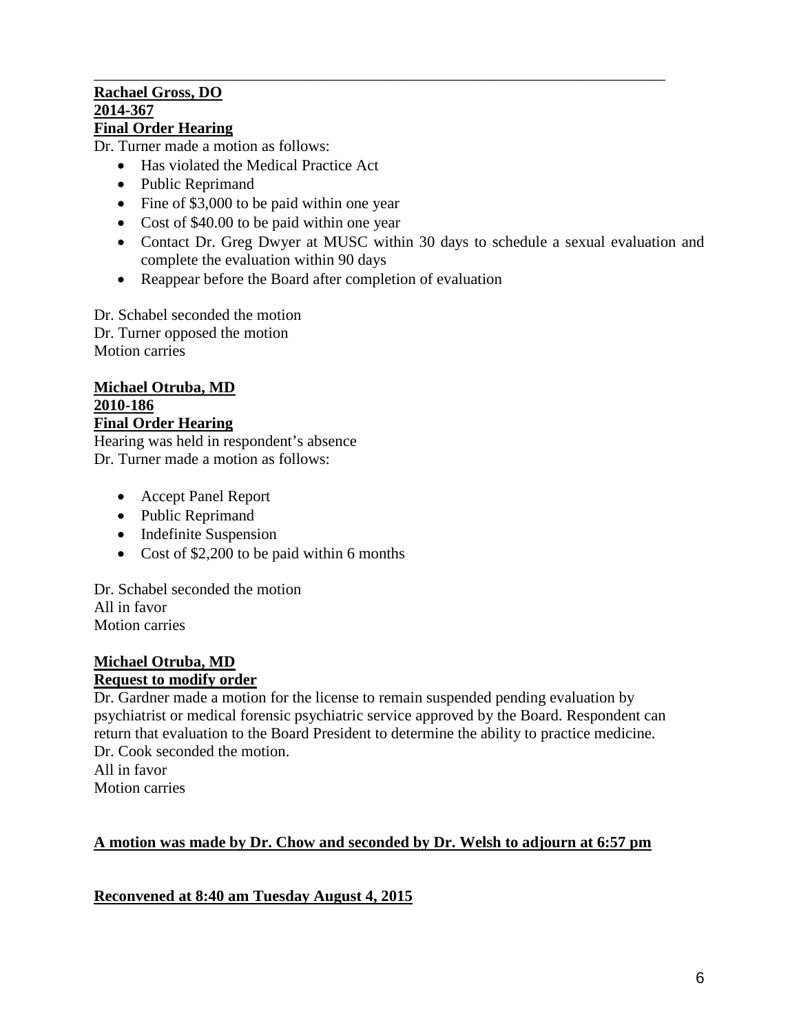#### \_\_\_\_\_\_\_\_\_\_\_\_\_\_\_\_\_\_\_\_\_\_\_\_\_\_\_\_\_\_\_\_\_\_\_\_\_\_\_\_\_\_\_\_\_\_\_\_\_\_\_\_\_\_\_\_\_\_\_\_\_\_\_\_\_\_\_\_\_\_\_\_\_ **Rachael Gross, DO 2014-367 Final Order Hearing**

Dr. Turner made a motion as follows:

- Has violated the Medical Practice Act
- Public Reprimand
- Fine of \$3,000 to be paid within one year
- Cost of \$40.00 to be paid within one year
- Contact Dr. Greg Dwyer at MUSC within 30 days to schedule a sexual evaluation and complete the evaluation within 90 days
- Reappear before the Board after completion of evaluation

Dr. Schabel seconded the motion Dr. Turner opposed the motion Motion carries

#### **Michael Otruba, MD 2010-186 Final Order Hearing**

Hearing was held in respondent's absence Dr. Turner made a motion as follows:

- Accept Panel Report
- Public Reprimand
- Indefinite Suspension
- Cost of \$2,200 to be paid within 6 months

Dr. Schabel seconded the motion All in favor Motion carries

# **Michael Otruba, MD**

## **Request to modify order**

Dr. Gardner made a motion for the license to remain suspended pending evaluation by psychiatrist or medical forensic psychiatric service approved by the Board. Respondent can return that evaluation to the Board President to determine the ability to practice medicine. Dr. Cook seconded the motion. All in favor

Motion carries

## **A motion was made by Dr. Chow and seconded by Dr. Welsh to adjourn at 6:57 pm**

**Reconvened at 8:40 am Tuesday August 4, 2015**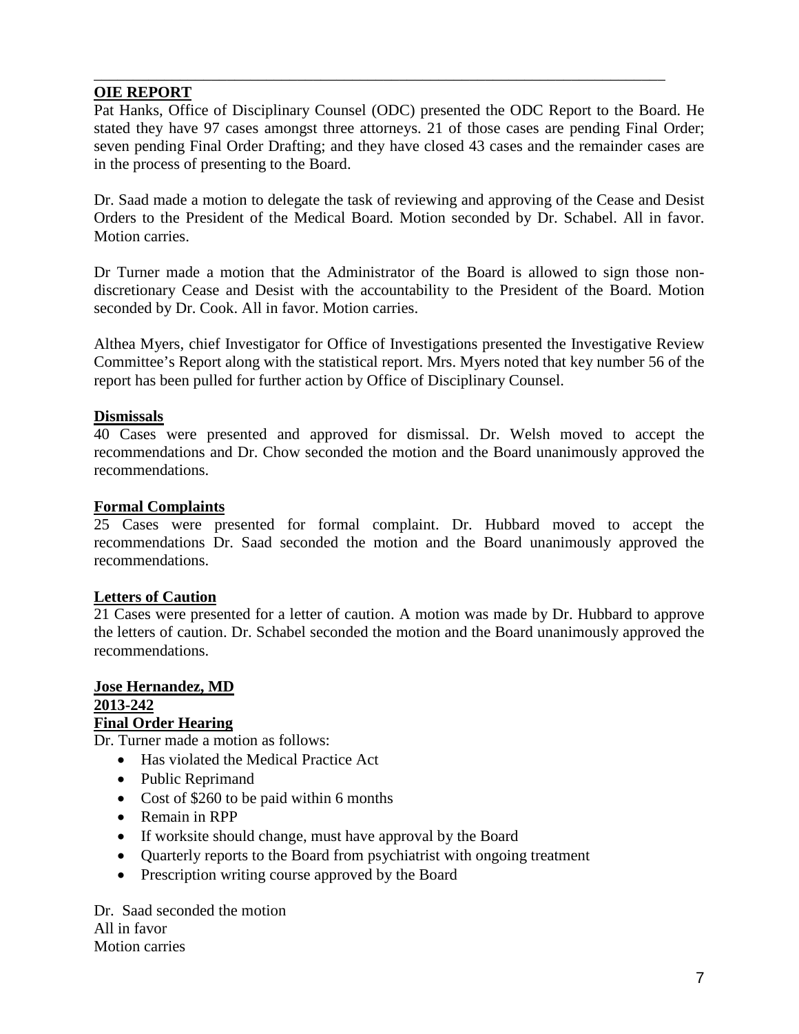## **OIE REPORT**

Pat Hanks, Office of Disciplinary Counsel (ODC) presented the ODC Report to the Board. He stated they have 97 cases amongst three attorneys. 21 of those cases are pending Final Order; seven pending Final Order Drafting; and they have closed 43 cases and the remainder cases are in the process of presenting to the Board.

\_\_\_\_\_\_\_\_\_\_\_\_\_\_\_\_\_\_\_\_\_\_\_\_\_\_\_\_\_\_\_\_\_\_\_\_\_\_\_\_\_\_\_\_\_\_\_\_\_\_\_\_\_\_\_\_\_\_\_\_\_\_\_\_\_\_\_\_\_\_\_\_\_

Dr. Saad made a motion to delegate the task of reviewing and approving of the Cease and Desist Orders to the President of the Medical Board. Motion seconded by Dr. Schabel. All in favor. Motion carries.

Dr Turner made a motion that the Administrator of the Board is allowed to sign those nondiscretionary Cease and Desist with the accountability to the President of the Board. Motion seconded by Dr. Cook. All in favor. Motion carries.

Althea Myers, chief Investigator for Office of Investigations presented the Investigative Review Committee's Report along with the statistical report. Mrs. Myers noted that key number 56 of the report has been pulled for further action by Office of Disciplinary Counsel.

#### **Dismissals**

40 Cases were presented and approved for dismissal. Dr. Welsh moved to accept the recommendations and Dr. Chow seconded the motion and the Board unanimously approved the recommendations.

#### **Formal Complaints**

25 Cases were presented for formal complaint. Dr. Hubbard moved to accept the recommendations Dr. Saad seconded the motion and the Board unanimously approved the recommendations.

## **Letters of Caution**

21 Cases were presented for a letter of caution. A motion was made by Dr. Hubbard to approve the letters of caution. Dr. Schabel seconded the motion and the Board unanimously approved the recommendations.

#### **Jose Hernandez, MD 2013-242 Final Order Hearing**

Dr. Turner made a motion as follows:

- Has violated the Medical Practice Act
- Public Reprimand
- Cost of \$260 to be paid within 6 months
- Remain in RPP
- If worksite should change, must have approval by the Board
- Quarterly reports to the Board from psychiatrist with ongoing treatment
- Prescription writing course approved by the Board

Dr. Saad seconded the motion All in favor Motion carries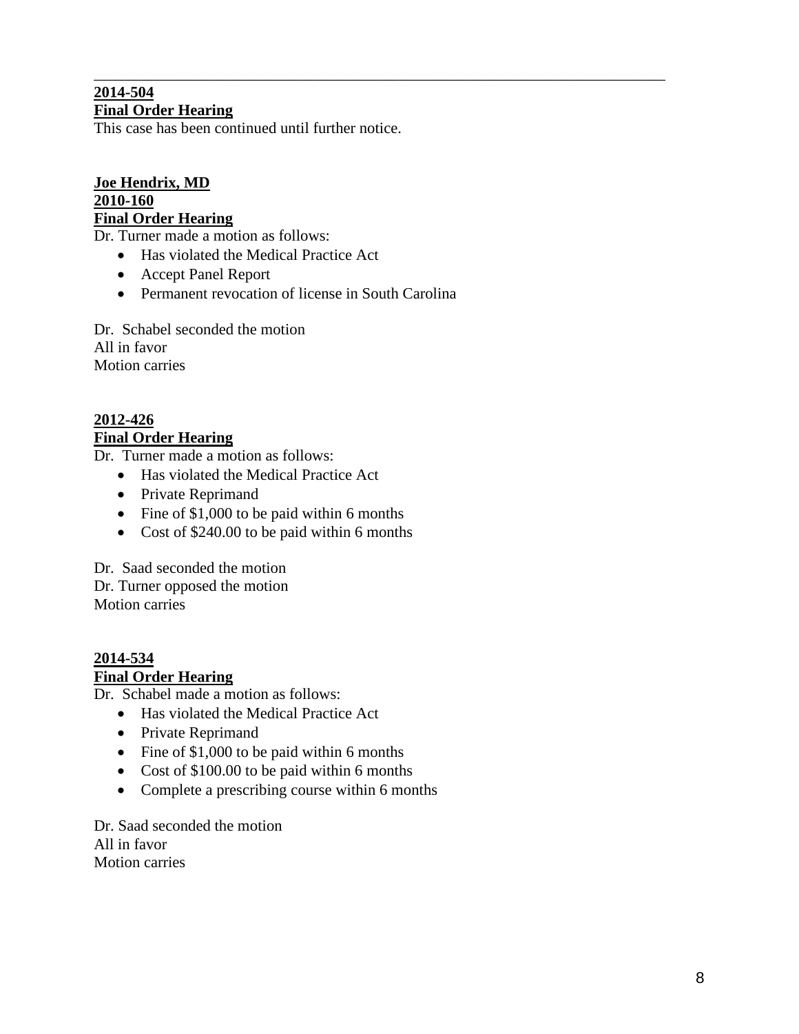#### \_\_\_\_\_\_\_\_\_\_\_\_\_\_\_\_\_\_\_\_\_\_\_\_\_\_\_\_\_\_\_\_\_\_\_\_\_\_\_\_\_\_\_\_\_\_\_\_\_\_\_\_\_\_\_\_\_\_\_\_\_\_\_\_\_\_\_\_\_\_\_\_\_ **2014-504 Final Order Hearing**

This case has been continued until further notice.

#### **Joe Hendrix, MD 2010-160 Final Order Hearing**

Dr. Turner made a motion as follows:

- Has violated the Medical Practice Act
- Accept Panel Report
- Permanent revocation of license in South Carolina

Dr. Schabel seconded the motion All in favor Motion carries

## **2012-426 Final Order Hearing**

Dr. Turner made a motion as follows:

- Has violated the Medical Practice Act
- Private Reprimand
- Fine of \$1,000 to be paid within 6 months
- Cost of \$240.00 to be paid within 6 months

Dr. Saad seconded the motion Dr. Turner opposed the motion Motion carries

#### **2014-534 Final Order Hearing**

Dr. Schabel made a motion as follows:

- Has violated the Medical Practice Act
- Private Reprimand
- Fine of \$1,000 to be paid within 6 months
- Cost of \$100.00 to be paid within 6 months
- Complete a prescribing course within 6 months

Dr. Saad seconded the motion All in favor Motion carries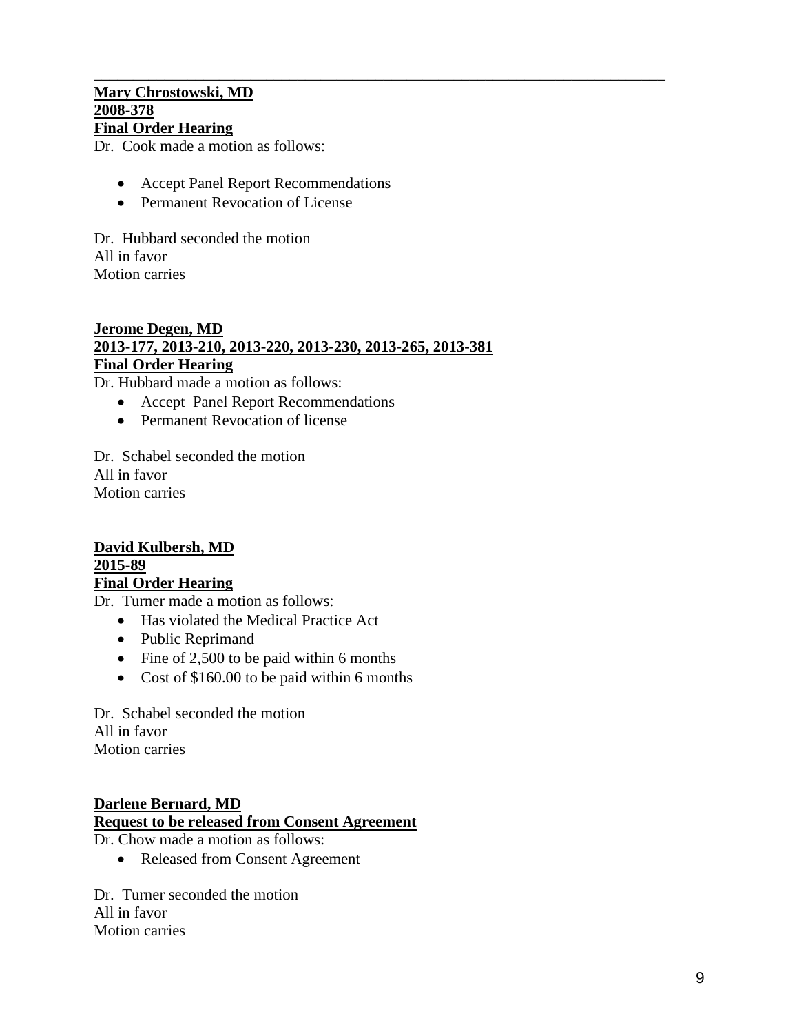#### \_\_\_\_\_\_\_\_\_\_\_\_\_\_\_\_\_\_\_\_\_\_\_\_\_\_\_\_\_\_\_\_\_\_\_\_\_\_\_\_\_\_\_\_\_\_\_\_\_\_\_\_\_\_\_\_\_\_\_\_\_\_\_\_\_\_\_\_\_\_\_\_\_ **Mary Chrostowski, MD 2008-378 Final Order Hearing**

Dr. Cook made a motion as follows:

- Accept Panel Report Recommendations
- Permanent Revocation of License

Dr. Hubbard seconded the motion All in favor Motion carries

#### **Jerome Degen, MD 2013-177, 2013-210, 2013-220, 2013-230, 2013-265, 2013-381 Final Order Hearing**

Dr. Hubbard made a motion as follows:

- Accept Panel Report Recommendations
- Permanent Revocation of license

Dr. Schabel seconded the motion All in favor Motion carries

#### **David Kulbersh, MD 2015-89 Final Order Hearing**

Dr. Turner made a motion as follows:

- Has violated the Medical Practice Act
- Public Reprimand
- Fine of 2,500 to be paid within 6 months
- Cost of \$160.00 to be paid within 6 months

Dr. Schabel seconded the motion All in favor Motion carries

## **Darlene Bernard, MD**

## **Request to be released from Consent Agreement**

Dr. Chow made a motion as follows:

• Released from Consent Agreement

Dr. Turner seconded the motion All in favor Motion carries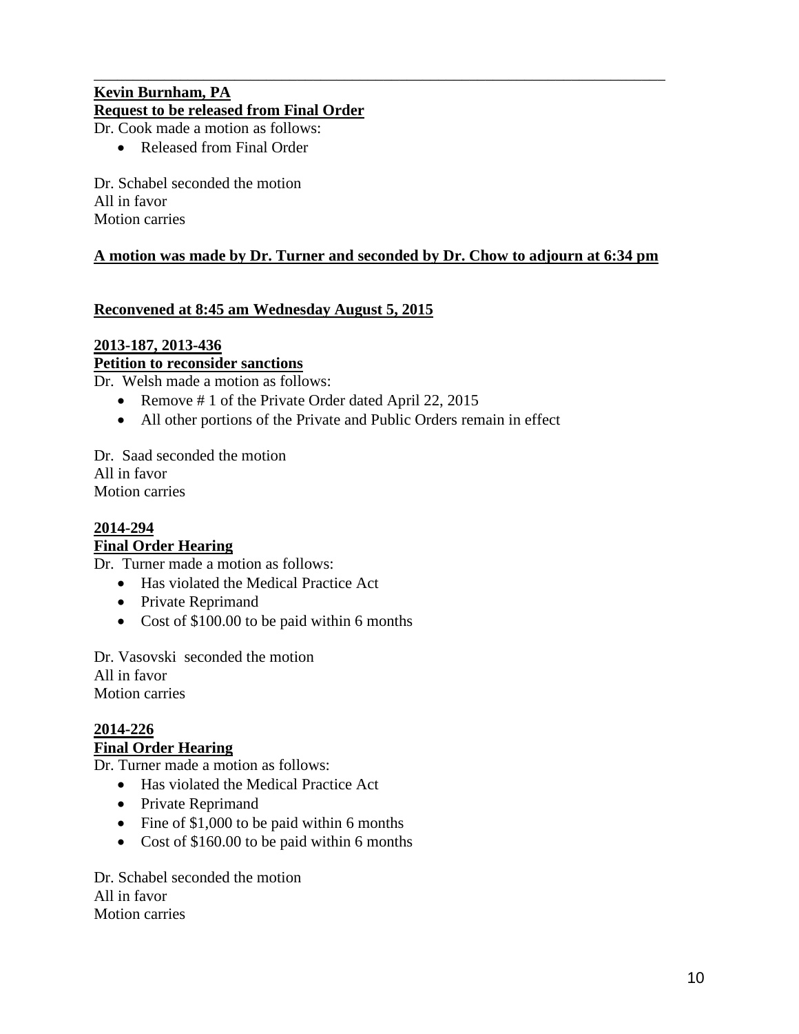## \_\_\_\_\_\_\_\_\_\_\_\_\_\_\_\_\_\_\_\_\_\_\_\_\_\_\_\_\_\_\_\_\_\_\_\_\_\_\_\_\_\_\_\_\_\_\_\_\_\_\_\_\_\_\_\_\_\_\_\_\_\_\_\_\_\_\_\_\_\_\_\_\_ **Kevin Burnham, PA Request to be released from Final Order**

Dr. Cook made a motion as follows:

• Released from Final Order

Dr. Schabel seconded the motion All in favor Motion carries

## **A motion was made by Dr. Turner and seconded by Dr. Chow to adjourn at 6:34 pm**

## **Reconvened at 8:45 am Wednesday August 5, 2015**

## **2013-187, 2013-436**

**Petition to reconsider sanctions**

Dr. Welsh made a motion as follows:

- Remove # 1 of the Private Order dated April 22, 2015
- All other portions of the Private and Public Orders remain in effect

Dr. Saad seconded the motion All in favor Motion carries

## **2014-294 Final Order Hearing**

Dr. Turner made a motion as follows:

- Has violated the Medical Practice Act
- Private Reprimand
- Cost of \$100.00 to be paid within 6 months

Dr. Vasovski seconded the motion All in favor Motion carries

# **2014-226**

## **Final Order Hearing**

Dr. Turner made a motion as follows:

- Has violated the Medical Practice Act
- Private Reprimand
- Fine of \$1,000 to be paid within 6 months
- Cost of \$160.00 to be paid within 6 months

Dr. Schabel seconded the motion All in favor Motion carries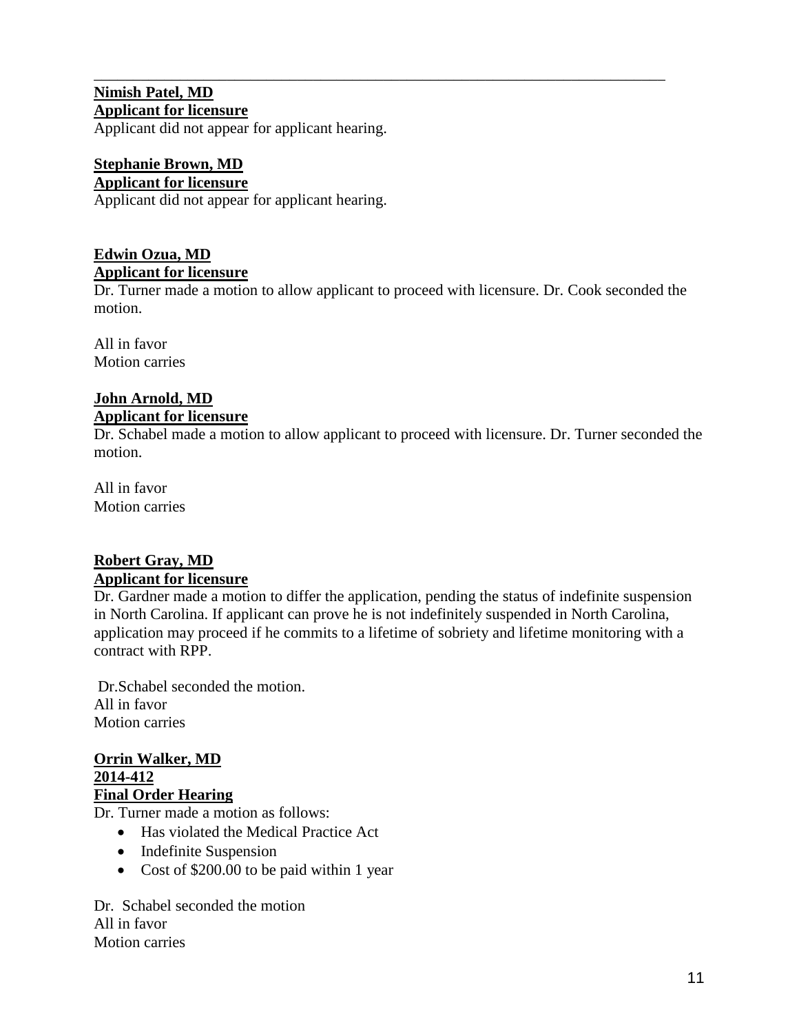#### **Nimish Patel, MD Applicant for licensure**

Applicant did not appear for applicant hearing.

## **Stephanie Brown, MD Applicant for licensure**

Applicant did not appear for applicant hearing.

## **Edwin Ozua, MD Applicant for licensure**

Dr. Turner made a motion to allow applicant to proceed with licensure. Dr. Cook seconded the motion.

\_\_\_\_\_\_\_\_\_\_\_\_\_\_\_\_\_\_\_\_\_\_\_\_\_\_\_\_\_\_\_\_\_\_\_\_\_\_\_\_\_\_\_\_\_\_\_\_\_\_\_\_\_\_\_\_\_\_\_\_\_\_\_\_\_\_\_\_\_\_\_\_\_

All in favor Motion carries

## **John Arnold, MD Applicant for licensure**

Dr. Schabel made a motion to allow applicant to proceed with licensure. Dr. Turner seconded the motion.

All in favor Motion carries

# **Robert Gray, MD**

## **Applicant for licensure**

Dr. Gardner made a motion to differ the application, pending the status of indefinite suspension in North Carolina. If applicant can prove he is not indefinitely suspended in North Carolina, application may proceed if he commits to a lifetime of sobriety and lifetime monitoring with a contract with RPP.

Dr.Schabel seconded the motion. All in favor Motion carries

#### **Orrin Walker, MD 2014-412 Final Order Hearing**

Dr. Turner made a motion as follows:

- Has violated the Medical Practice Act
- Indefinite Suspension
- Cost of \$200.00 to be paid within 1 year

Dr. Schabel seconded the motion All in favor Motion carries